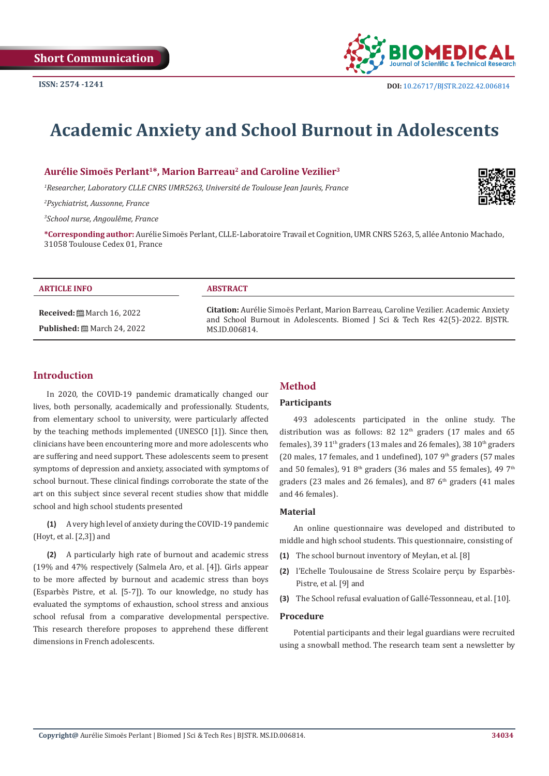

# **Academic Anxiety and School Burnout in Adolescents**

**Aurélie Simoës Perlant1\*, Marion Barreau2 and Caroline Vezilier3**

*1 Researcher, Laboratory CLLE CNRS UMR5263, Université de Toulouse Jean Jaurès, France*

*2 Psychiatrist, Aussonne, France*

*3 School nurse, Angoulême, France*

**\*Corresponding author:** Aurélie Simoës Perlant, CLLE-Laboratoire Travail et Cognition, UMR CNRS 5263, 5, allée Antonio Machado, 31058 Toulouse Cedex 01, France

#### **ARTICLE INFO ABSTRACT**

**Received:** March 16, 2022 **Published:** ■ March 24, 2022

**Citation:** Aurélie Simoës Perlant, Marion Barreau, Caroline Vezilier. Academic Anxiety and School Burnout in Adolescents. Biomed J Sci & Tech Res 42(5)-2022. BJSTR. MS.ID.006814.

# **Introduction**

In 2020, the COVID-19 pandemic dramatically changed our lives, both personally, academically and professionally. Students, from elementary school to university, were particularly affected by the teaching methods implemented (UNESCO [1]). Since then, clinicians have been encountering more and more adolescents who are suffering and need support. These adolescents seem to present symptoms of depression and anxiety, associated with symptoms of school burnout. These clinical findings corroborate the state of the art on this subject since several recent studies show that middle school and high school students presented

**(1)** A very high level of anxiety during the COVID-19 pandemic (Hoyt, et al. [2,3]) and

**(2)** A particularly high rate of burnout and academic stress (19% and 47% respectively (Salmela Aro, et al. [4]). Girls appear to be more affected by burnout and academic stress than boys (Esparbès Pistre, et al. [5-7]). To our knowledge, no study has evaluated the symptoms of exhaustion, school stress and anxious school refusal from a comparative developmental perspective. This research therefore proposes to apprehend these different dimensions in French adolescents.

# **Method**

# **Participants**

493 adolescents participated in the online study. The distribution was as follows: 82  $12<sup>th</sup>$  graders (17 males and 65 females), 39 11<sup>th</sup> graders (13 males and 26 females), 38 10<sup>th</sup> graders (20 males, 17 females, and 1 undefined), 107  $9<sup>th</sup>$  graders (57 males and 50 females), 91  $8<sup>th</sup>$  graders (36 males and 55 females), 49  $7<sup>th</sup>$ graders (23 males and 26 females), and 87  $6<sup>th</sup>$  graders (41 males and 46 females).

#### **Material**

An online questionnaire was developed and distributed to middle and high school students. This questionnaire, consisting of

- **(1)** The school burnout inventory of Meylan, et al. [8]
- **(2)** l'Echelle Toulousaine de Stress Scolaire perçu by Esparbès-Pistre, et al. [9] and
- **(3)** The School refusal evaluation of Gallé-Tessonneau, et al. [10].

#### **Procedure**

Potential participants and their legal guardians were recruited using a snowball method. The research team sent a newsletter by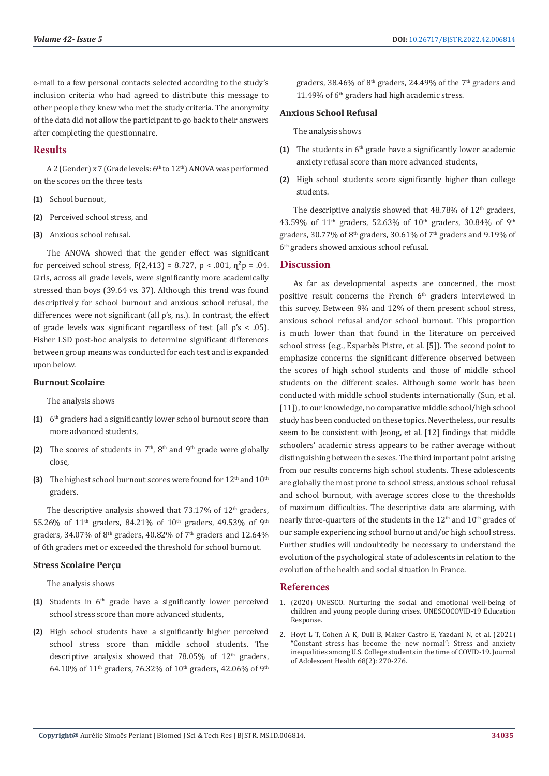e-mail to a few personal contacts selected according to the study's inclusion criteria who had agreed to distribute this message to other people they knew who met the study criteria. The anonymity of the data did not allow the participant to go back to their answers after completing the questionnaire.

# **Results**

A 2 (Gender) x 7 (Grade levels: 6<sup>th</sup> to 12<sup>th</sup>) ANOVA was performed on the scores on the three tests

- **(1)** School burnout,
- **(2)** Perceived school stress, and
- **(3)** Anxious school refusal.

The ANOVA showed that the gender effect was significant for perceived school stress,  $F(2,413) = 8.727$ ,  $p < .001$ ,  $p^2p = .04$ . Girls, across all grade levels, were significantly more academically stressed than boys (39.64 vs. 37). Although this trend was found descriptively for school burnout and anxious school refusal, the differences were not significant (all p's, ns.). In contrast, the effect of grade levels was significant regardless of test (all  $p's < .05$ ). Fisher LSD post-hoc analysis to determine significant differences between group means was conducted for each test and is expanded upon below.

# **Burnout Scolaire**

The analysis shows

- **(1)** 6th graders had a significantly lower school burnout score than more advanced students,
- **(2)** The scores of students in  $7<sup>th</sup>$ ,  $8<sup>th</sup>$  and  $9<sup>th</sup>$  grade were globally close,
- **(3)** The highest school burnout scores were found for 12<sup>th</sup> and 10<sup>th</sup> graders.

The descriptive analysis showed that  $73.17\%$  of  $12<sup>th</sup>$  graders, 55.26% of  $11<sup>th</sup>$  graders, 84.21% of  $10<sup>th</sup>$  graders, 49.53% of 9<sup>th</sup> graders, 34.07% of 8<sup>th</sup> graders, 40.82% of 7<sup>th</sup> graders and 12.64% of 6th graders met or exceeded the threshold for school burnout.

#### **Stress Scolaire Perçu**

The analysis shows

- **(1)** Students in 6th grade have a significantly lower perceived school stress score than more advanced students,
- **(2)** High school students have a significantly higher perceived school stress score than middle school students. The descriptive analysis showed that  $78.05\%$  of  $12<sup>th</sup>$  graders, 64.10% of 11<sup>th</sup> graders, 76.32% of 10<sup>th</sup> graders, 42.06% of 9<sup>th</sup>

graders, 38.46% of  $8<sup>th</sup>$  graders, 24.49% of the  $7<sup>th</sup>$  graders and 11.49% of 6<sup>th</sup> graders had high academic stress.

#### **Anxious School Refusal**

The analysis shows

- **(1)** The students in  $6<sup>th</sup>$  grade have a significantly lower academic anxiety refusal score than more advanced students,
- **(2)** High school students score significantly higher than college students.

The descriptive analysis showed that  $48.78\%$  of  $12<sup>th</sup>$  graders, 43.59% of  $11<sup>th</sup>$  graders, 52.63% of  $10<sup>th</sup>$  graders, 30.84% of 9<sup>th</sup> graders, 30.77% of 8th graders, 30.61% of 7th graders and 9.19% of 6th graders showed anxious school refusal.

# **Discussion**

As far as developmental aspects are concerned, the most positive result concerns the French 6<sup>th</sup> graders interviewed in this survey. Between 9% and 12% of them present school stress, anxious school refusal and/or school burnout. This proportion is much lower than that found in the literature on perceived school stress (e.g., Esparbès Pistre, et al. [5]). The second point to emphasize concerns the significant difference observed between the scores of high school students and those of middle school students on the different scales. Although some work has been conducted with middle school students internationally (Sun, et al. [11]), to our knowledge, no comparative middle school/high school study has been conducted on these topics. Nevertheless, our results seem to be consistent with Jeong, et al. [12] findings that middle schoolers' academic stress appears to be rather average without distinguishing between the sexes. The third important point arising from our results concerns high school students. These adolescents are globally the most prone to school stress, anxious school refusal and school burnout, with average scores close to the thresholds of maximum difficulties. The descriptive data are alarming, with nearly three-quarters of the students in the  $12<sup>th</sup>$  and  $10<sup>th</sup>$  grades of our sample experiencing school burnout and/or high school stress. Further studies will undoubtedly be necessary to understand the evolution of the psychological state of adolescents in relation to the evolution of the health and social situation in France.

# **References**

- 1. [\(2020\) UNESCO. Nurturing the social and emotional well-being of](https://unesdoc.unesco.org/ark:/48223/pf0000373271) [children and young people during crises. UNESCOCOVID-19 Education](https://unesdoc.unesco.org/ark:/48223/pf0000373271) [Response.](https://unesdoc.unesco.org/ark:/48223/pf0000373271)
- 2. [Hoyt L T, Cohen A K, Dull B, Maker Castro E, Yazdani N, et al. \(2021\)](https://www.jahonline.org/article/S1054-139X(20)30646-7/fulltext) ["Constant stress has become the new normal": Stress and anxiety](https://www.jahonline.org/article/S1054-139X(20)30646-7/fulltext) [inequalities among U.S. College students in the time of COVID-19. Journal](https://www.jahonline.org/article/S1054-139X(20)30646-7/fulltext) [of Adolescent Health 68\(2\): 270-276.](https://www.jahonline.org/article/S1054-139X(20)30646-7/fulltext)